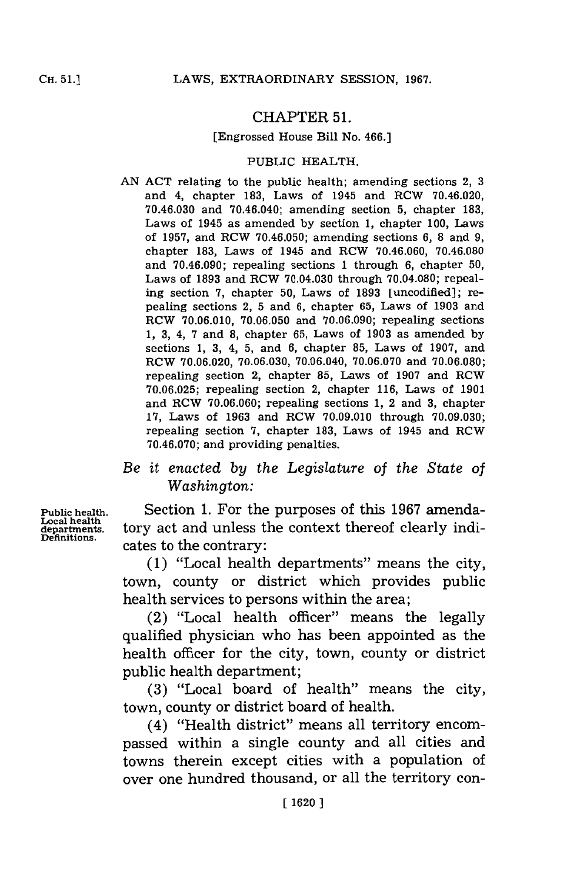# CHAPTER **51.**

#### [Engrossed House Bill No. 466.]

#### PUBLIC HEALTH.

**AN ACT** relating to the public health; amending sections 2, **3** and 4, chapter **183,** Laws of 1945 and RCW 70.46.020, **70.46.030** and 70.46.040; amending section **5,** chapter **183,** Laws of 1945 as amended **by** section **1,** chapter **100,** Laws of **1957,** and RCW **70.46.050;** amending sections **6, 8** and **9,** chapter **183,** Laws of 1945 and RCW **70.46.060, 70.46.080** and **70.46.090;** repealing sections **1** through **6,** chapter **50,** Laws of **1893** and RCW 70.04.030 through **70.04.080;** repealing section **7,** chapter **50,** Laws of **1893** [uncodified]; repealing sections 2, **5** and **6,** chapter **65,** Laws of **1903** and RCW **70.06.010, 70.06.050** and **70.06.090;** repealing sections **1, 3,** 4, **7** and **8,** chapter **65,** Laws of **1903** as amended **by** sections **1, 3,** 4, **5,** and **6,** chapter **85,** Laws of **1907,** and ROW **70.06.020, 70.06.030,** 70.06.040, **70.06.070** and **70.06.080;** repealing section 2, chapter **85,** Laws of **1907** and RCW **70.06.025;** repealing section 2, chapter **116,** Laws of **1901** and ROW **70.06.060;** repealing sections **1,** 2 and **3,** chapter **17,** Laws of **1963** and RCW **70.09.010** through **70.09.030;** repealing section **7,** chapter **183,** Laws of 1945 and RCW **70.46.070;** and providing penalties.

# *Be it enacted by the Legislature of the State of Washington:*

**Public health.** Section **1.** For the purposes of this **1967** amenda**departments.** tory act and unless the context thereof clearly indicates to the contrary:

> **(1)** "Local health departments" means the city, town, county or district which provides public health services to persons within the area;

> (2) "Local health officer" means the legally qualified physician who has been appointed as the health officer for the city, town, county or district public health department;

> **(3)** "Local board of health" means the city, town, county or district board of health.

> (4) "Health district" means all territory encompassed within a single county and all cities and towns therein except cities with a population of over one hundred thousand, or all the territory con-

**Public health.**<br>Local health<br>departments.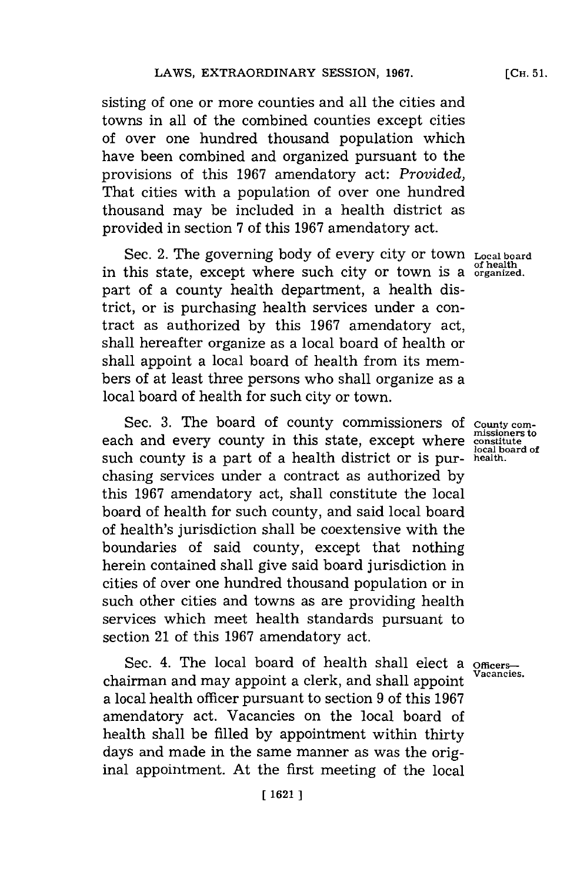sisting of one or more counties and all the cities and towns in all of the combined counties except cities of over one hundred thousand population which have been combined and organized pursuant to the provisions of this **1967** amendatory act: *Provided,* That cities with a population of over one hundred thousand may be included in a health district as provided in section **7** of this **1967** amendatory act.

Sec. 2. The governing body of every city or town **Local board of health** in this state, except where such city or town is a **ofrganized.** part of a county health department, a health district, or is purchasing health services under a contract as authorized **by** this **1967** amendatory act, shall hereafter organize as a local board of health or shall appoint a local board of health from its members of at least three persons who shall organize as a local board of health for such city or town.

Sec. 3. The board of county commissioners of county comeach and every county in this state, except where **constitute** such county is a part of a health district or is purchasing services under a contract as authorized **by** this **1967** amendatory act, shall constitute the local board of health for such county, and said local board of health's jurisdiction shall be coextensive with the boundaries of said county, except that nothing herein contained shall give said board jurisdiction in cities of over one hundred thousand population or in such other cities and towns as are providing health services which meet health standards pursuant to section 21 of this **1967** amendatory act.

Sec. 4. The local board of health shall elect a **officers**chairman and may appoint a clerk, and shall appoint a local health officer pursuant to section **9** of this **1967** amendatory act. Vacancies on the local board of health shall be filled **by** appointment within thirty days and made in the same manner as was the original appointment. At the first meeting of the local

**local board of**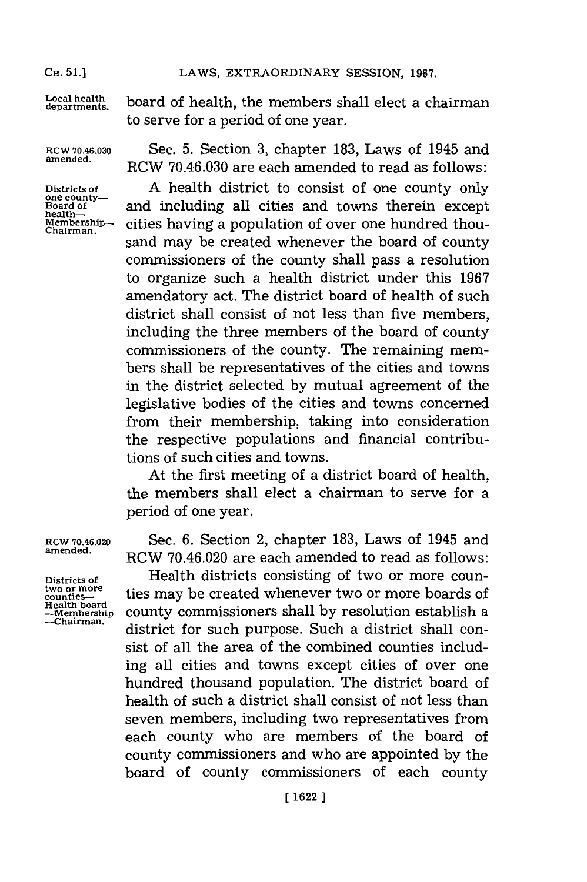**CH. 51.]**

**CH.** 51.]LAWS, EXTRAORDINARY **SESSION, 1967.**

Local health board of health, the members shall elect a chairman to serve for a period of one year.

health—<br>Membership—<br>Chairman.

**ROW 70.46.030** Sec. **5.** Section **3,** chapter **183,** Laws of 1945 and **amended.** RCW **70.46.030** are each amended to read as follows:

Districts of **A** health district to consist of one county only one county—<br> **Board of and including all cities and towns therein except** cities having a population of over one hundred thousand may be created whenever the board of county commissioners of the county shall pass a resolution to organize such a health district under this **1967** amendatory act. The district board of health of such district shall consist of not less than five members. including the three members of the board of county commissioners of the county. The remaining members shall be representatives of the cities and towns in the district selected **by** mutual agreement of the legislative bodies of the cities and towns concerned from their membership, taking into consideration the respective populations and financial contributions of such cities and towns.

> At the first meeting of a district board of health, the members shall elect a chairman to serve for a period of one year.

**ROW 70.46.020** Sec. **6.** Section 2, chapter **183,** Laws of 1945 and **amended.** RCW 70.46.020 are each amended to read as follows:

**Districts of** Health districts consisting of two or more coun-<sup>two or more</sup> **counties-** ties may be created whenever two or more boards of  $P$  adds to the second state of  $P$ **-membership** county commissioners shall **by** resolution establish a district for such purpose. Such a district shall consist of all the area of the combined counties including all cities and towns except cities of over one hundred thousand population. The district board of health of such a district shall consist of not less than seven members, including two representatives from each county who are members of the board of county commnissioners and who are appointed **by** the board of county commissioners of each county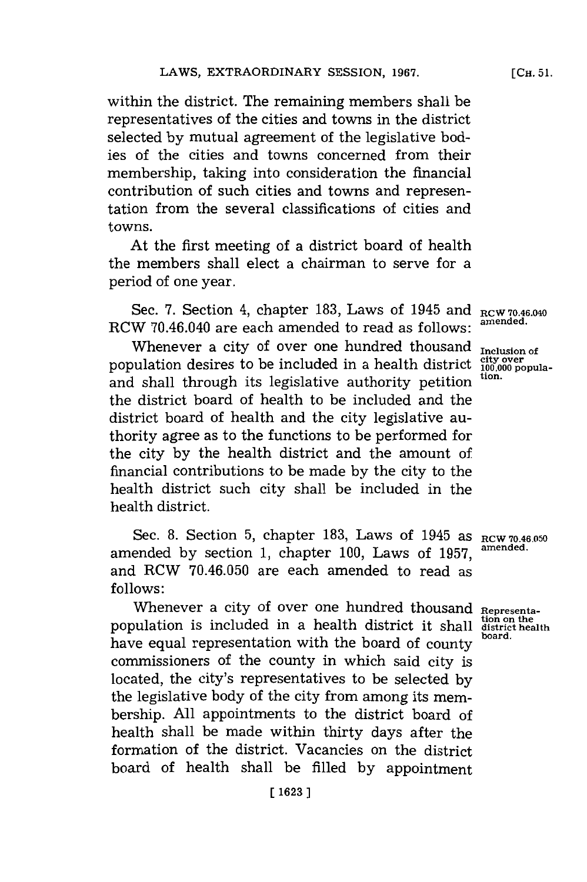within the district. The remaining members shall be representatives of the cities and towns in the district selected **by** mutual agreement of the legislative bodies of the cities and towns concerned from their membership, taking into consideration the financial contribution of such cities and towns and representation from the several classifications of cities and towns.

At the first meeting of a district board of health the members shall elect a chairman to serve for a period of one year.

Sec. **7.** Section 4, chapter **183,** Laws of 1945 and **RCW 70.46.040** RCW 70.46.040 are each amended to read as follows:

Whenever a city of over one hundred thousand **Inclusion of**<br>bulation desires to be included in a health district  $\frac{city}{100,000}$  populapopulation desires to be included in a health district  $\frac{div}{100}$ and shall through its legislative authority petition **tion.** the district board of health to be included and the district board of health and the city legislative authority agree as to the functions to be performed for the city **by** the health district and the amount of financial contributions to be made **by** the city to the health district such city shall be included in the health district.

Sec. 8. Section  $5$ , chapter  $183$ , Laws of  $1945$  as  $RCW$  70.46.050 amended by section 1, chapter 100, Laws of 1957, and RCW **70.46.050** are each amended to read as **follows:**

Whenever a city of over one hundred thousand Representa**tion on the** population is included in a health district it shall **district health** have equal representation with the board of county commissioners of the county in which said city is located, the city's representatives to be selected **by** the legislative body of the city from among its membership. **All** appointments to the district board of health shall be made within thirty days after the formation of the district. Vacancies on the district board of health shall be filled **by** appointment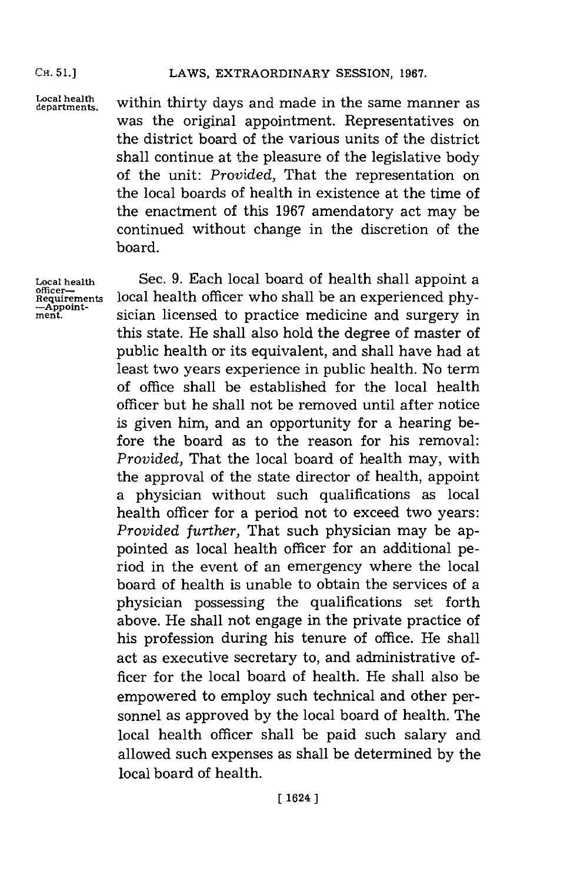## LAWS, EXTRAORDINARY SESSION, 1967.

Local health **within** thirty days and made in the same manner as was the original appointment. Representatives on the district board of the various units of the district shall continue at the pleasure of the legislative body of the unit: *Provided,* That the representation on the local boards of health in existence at the time of the enactment of this **1967** amendatory act may be continued without change in the discretion of the board.

**Local health** Sec. **9.** Each local board of health shall appoint a officer—<br> **Requirements local health officer who shall be an experienced phy-**<br>  $\frac{\text{Appoint}}{\text{ment}}$  sician licensed to practice medicine and surgery in sician licensed to practice medicine and surgery in this state. He shall also hold the degree of master of public health or its equivalent, and shall have had at least two years experience in public health. No term of office shall be established for the local health officer but he shall not be removed until after notice is given him, and an opportunity for a hearing before the board as to the reason for his removal: *Provided,* That the local board of health may, with the approval of the state director of health, appoint a physician without such qualifications as local health officer for a period not to exceed two years: *Provided further,* That such physician may be appointed as local health officer for an additional period in the event of an emergency where the local board of health is unable to obtain the services of a physician possessing the qualifications set forth above. He shall not engage in the private practice of his profession during his tenure of office. He shall act as executive secretary to, and administrative officer for the local board of health. He shall also be empowered to employ such technical and other personnel as approved **by** the local board of health. The local health officer shall be paid such salary and allowed such expenses as shall be determined **by** the local board of health.

**CH. 51.)**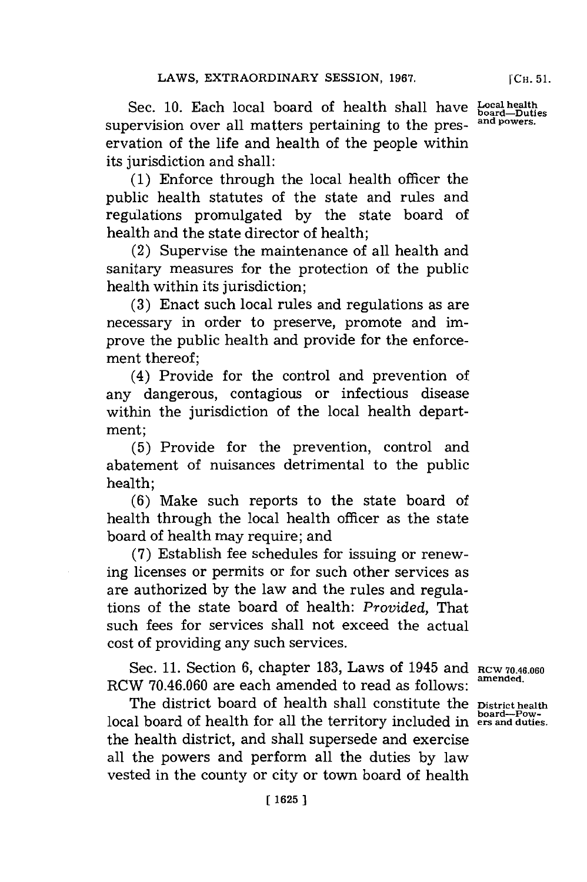Sec. **10.** Each local board of health shall have supervision over all matters pertaining to the preservation of the life and health of the people within its jurisdiction and shall:

**(1)** Enforce through the local health officer the public health statutes of the state and rules and regulations promulgated **by** the state board of health and the state director of health;

(2) Supervise the maintenance of all health and sanitary measures for the protection of the public health within its jurisdiction;

**(3)** Enact such local rules and regulations as are necessary in order to preserve, promote and improve the public health and provide for the enforcement thereof;

(4) Provide for the control and prevention of any dangerous, contagious or infectious disease within the jurisdiction of the local health department;

**(5)** Provide for the prevention, control and abatement of nuisances detrimental to the public health;

**(6)** Make such reports to the state board of health through the local health officer as the state board of health may require; and

**(7)** Establish fee schedules for issuing or renewing licenses or permits or for such other services as are authorized **by** the law and the rules and regulations of the state board of health: Provided, That such fees for services shall not exceed the actual cost of providing any such services.

Sec. **11.** Section **6,** chapter **183,** Laws of 1945 and **RCW 70.46.060** RCW **70.46.060** are each amended to read as follows:

The district board of health shall constitute the **District health** local board of health for all the territory included in **board-Pow-ers and duties.** the health district, and shall supersede and exercise all the powers and perform all the duties **by** law vested in the county or city or town board of health

**amended.**

**Local health board-Duties and powers.**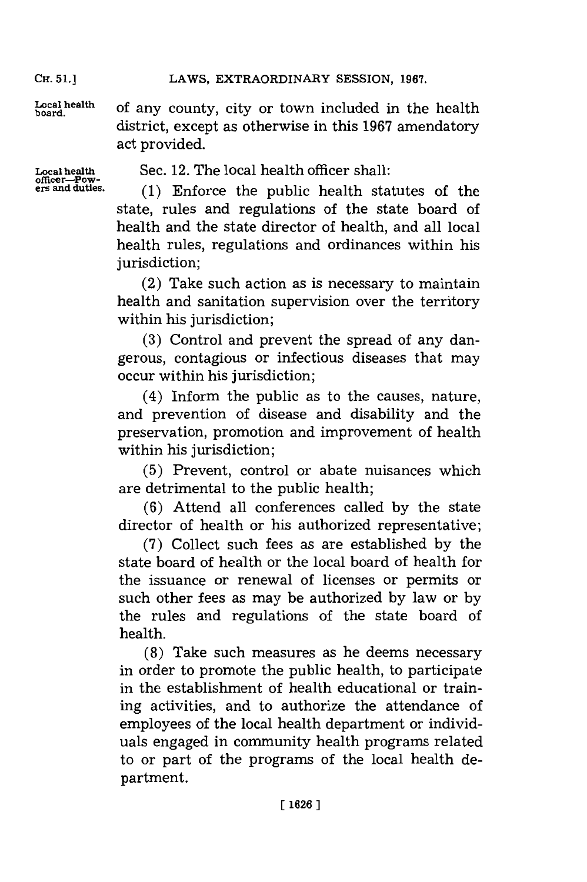LAWS, EXTRAORDINARY SESSION, 1967.

Local health of any county, city or town included in the health district, except as otherwise in this **1967** amendatory act provided.

**Local health officer-Pow-era and duties.**

Sec. 12. The local health officer shall:

**(1)** Enforce the public health statutes of the state, rules and regulations of the state board of health and the state director of health, and all local health rules, regulations and ordinances within his jurisdiction;

(2) Take such action as is necessary to maintain health and sanitation supervision over the territory within his jurisdiction;

**(3)** Control and prevent the spread of any dangerous, contagious or infectious diseases that may occur within his jurisdiction;

(4) Inform the public as to the causes, nature, and prevention of disease and disability and the preservation, promotion and improvement of health within his jurisdiction:

**(5)** Prevent, control or abate nuisances which are detrimental to the public health;

**(6)** Attend all conferences called **by** the state director of health or his authorized representative;

**(7)** Collect such fees as are established **by** the state board of health or the local board of health for the issuance or renewal of licenses or permits or such other fees as may be authorized **by** law or **by** the rules and regulations of the state board of health.

**(8)** Take such measures as he deems necessary in order to promote the public health, to participate in the establishment of health educational or training activities, and to authorize the attendance of employees of the local health department or individuals engaged in community health programs related to or part of the programs of the local health department.

Cir. **51.1**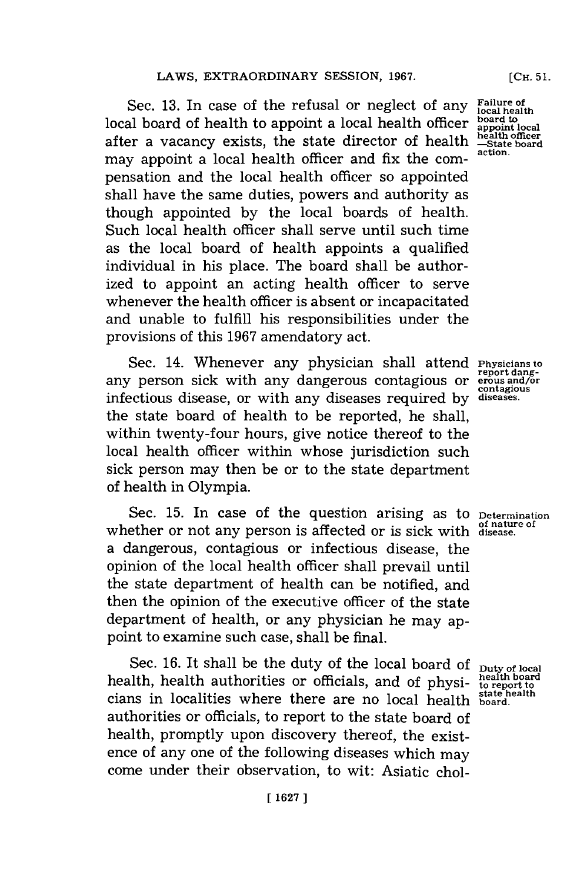Sec. 13. In case of the refusal or neglect of any Failure of **board to** local board of health to appoint alocal health officer **appoint local** after a vacancy exists, the state director of health  $\frac{\text{health}}{\text{state board}}$ may appoint a local health officer and fix the compensation and the local health officer so appointed shall have the same duties, powers and authority as though appointed **by** the local boards of health. Such local health officer shall serve until such time as the local board of health appoints a qualified individual in his place. The board shall be authorized to appoint an acting health officer to serve whenever the health officer is absent or incapacitated and unable to fulfill his responsibilities under the provisions of this **1967** amendatory act.

Sec. 14. Whenever any physician shall attend **Physicians to** any person sick with any dangerous contagious or **erous** and/or **contagious** infectious disease, or with any diseases required **by diseases.** the state board of health to be reported, he shall, within twenty-four hours, give notice thereof to the local health officer within whose jurisdiction such sick person may then be or to the state department of health in Olympia.

Sec. 15. In case of the question arising as to **Determination** whether or not any person is affected or is sick with **disease.** a dangerous, contagious or infectious disease, the opinion of the local health officer shall prevail until the state department of health can be notified, and then the opinion of the executive officer of the state department of health, or any physician he may appoint to examine such case, shall be final.

Sec. 16. It shall be the duty of the local board of **Duty of local**<br>lith health outherities are officials and of the integration begins health, health authorities or officials, and of physi- health board cinne in localities where there are no local health state health **state health** cians in localities where there are no local health **board.** authorities or officials, to report to the state board of health, promptly upon discovery thereof, the existence of any one of the following diseases which may come under their observation, to wit: Asiatic chol-

**report dang-**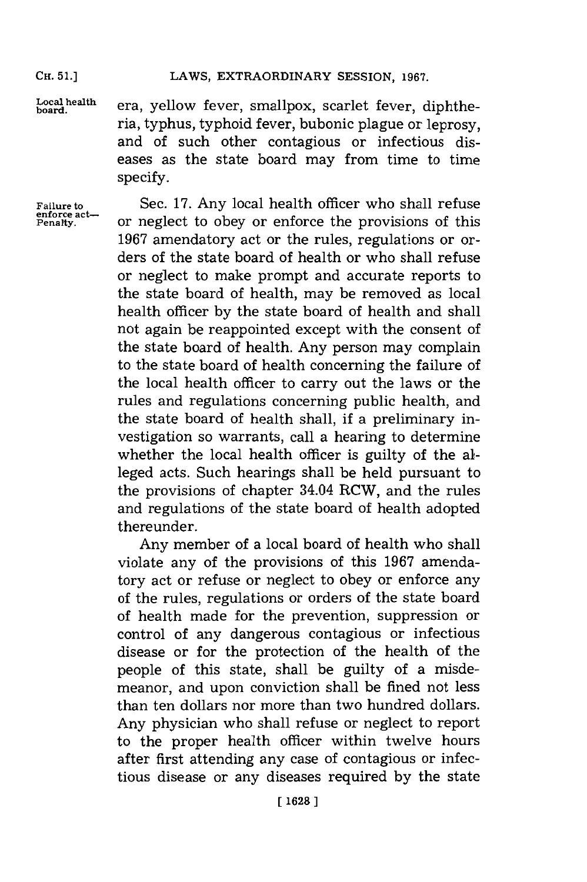## **CR. 51.]LAWS, EXTRAORDINARY SESSION, 1967.**

**Local health**<br>board.

era, yellow fever, smallpox, scarlet fever, diphtheria, typhus, typhoid fever, bubonic plague or leprosy, and of such other contagious or infectious diseases as the state board may from time to time specify.

**enforce act-**

**Failure to** Sec. **17.** Any local health officer who shall refuse **Penalty,** or neglect to obey or enforce the provisions of this **1967** amendatory act or the rules, regulations or orders of the state board of health or who shall refuse or neglect to make prompt and accurate reports to the state board of health, may be removed as local health officer **by** the state board of health and shall not again be reappointed except with the consent of the state board of health. Any person may complain to the state board of health concerning the failure of the local health officer to carry out the laws or the rules and regulations concerning public health, and the state board of health shall, if a preliminary investigation so warrants, call a hearing to determine whether the local health officer is guilty of the alleged acts. Such hearings shall be held pursuant to the provisions of chapter 34.04 RCW, and the rules and regulations of the state board of health adopted thereunder.

> Any member of a local board of health who shall violate any of the provisions of this **1967** amendatory act or refuse or neglect to obey or enforce any of the rules, regulations or orders of the state board of health made for the prevention, suppression or control of any dangerous contagious or infectious disease or for the protection of the health of the people of this state, shall be guilty of a misdemeanor, and upon conviction shall be fined not less than ten dollars nor more than two hundred dollars. Any physician who shall refuse or neglect to report to the proper health officer within twelve hours after first attending any case of contagious or infectious disease or any diseases required **by** the state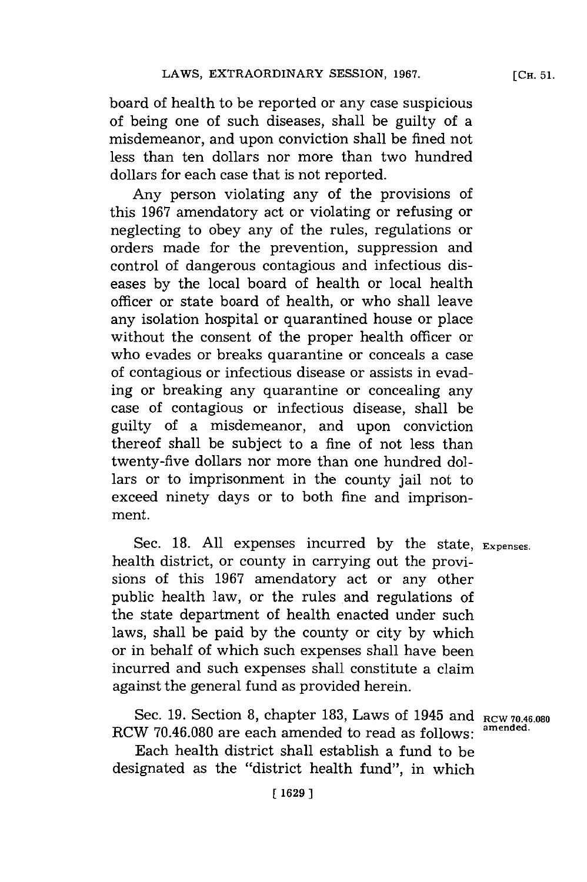board of health to be reported or any case suspicious of being one of such diseases, shall be guilty of a misdemeanor, and upon conviction shall be fined not less than ten dollars nor more than two hundred dollars for each case that is not reported.

Any person violating any of the provisions of this **1967** amendatory act or violating or refusing or neglecting to obey any of the rules, regulations or orders made for the prevention, suppression and control of dangerous contagious and infectious diseases **by** the local board of health or local health officer or state board of health, or who shall leave any isolation hospital or quarantined house or place without the consent of the proper health officer or who evades or breaks quarantine or conceals a case of contagious or infectious disease or assists in evading or breaking any quarantine or concealing any case of contagious or infectious disease, shall be guilty of a misdemeanor, and upon conviction thereof shall be subject to a fine of not less than twenty-five dollars nor more than one hundred dollars or to imprisomnent in the county jail not to exceed ninety days or to both fine and imprisonment.

Sec. **18. All** expenses incurred **by** the state, **Expenses.** health district, or county in carrying out the provisions of this **1967** amendatory act or any other public health law, or the rules and regulations of the state department of health enacted under such laws, shall be paid **by** the county or city **by** which or in behalf of which such expenses shall have been incurred and such expenses shall constitute a claim against the general fund as provided herein.

Sec. **19.** Section **8,** chapter **183,** Laws of 1945 and **RCW 70.46.080** RCW 70.46.080 are each amended to read as follows:

Each health district shall establish a fund to be designated as the "district health fund", in which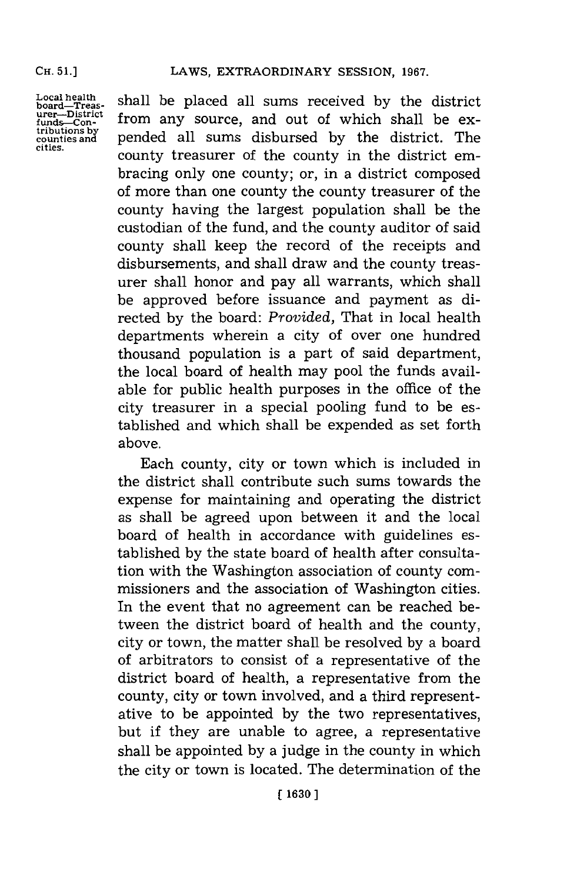#### **CH. 51.]**

**Local health board-Treas-urer-District funds-Contributions by counties and cities.**

shall be placed all sums received **by** the district from any source, and out of which shall be expended all sums disbursed **by** the district. The county treasurer of the county in the district embracing only one county; or, in a district composed of more than one county the county treasurer of the county having the largest population shall be the custodian of the fund, and the county auditor of said county shall keep the record of the receipts and disbursements, and shall draw and the county treasurer shall honor and pay all warrants, which shall be approved before issuance and payment as directed **by** the board: *Provided,* That in local health departments wherein a city of over one hundred thousand population is a part of said department, the local board of health may pool the funds available for public health purposes in the office of the city treasurer in a special pooling fund to be established and which shall be expended as set forth above.

Each county, city or town which is included in the district shall contribute such sums towards the expense for maintaining and operating the district as shall be agreed upon between it and the local board of health in accordance with guidelines established **by** the state board of health after consultation with the Washington association of county commissioners and the association of Washington cities. In the event that no agreement can be reached between the district board of health and the county, city or town, the matter shall be resolved **by** a board of arbitrators to consist of a representative of the district board of health, a representative from the county, city or town involved, and a third representative to be appointed **by** the two representatives, but if they are unable to agree, a representative shall be appointed **by** a judge in the county in which the city or town is located. The determination of the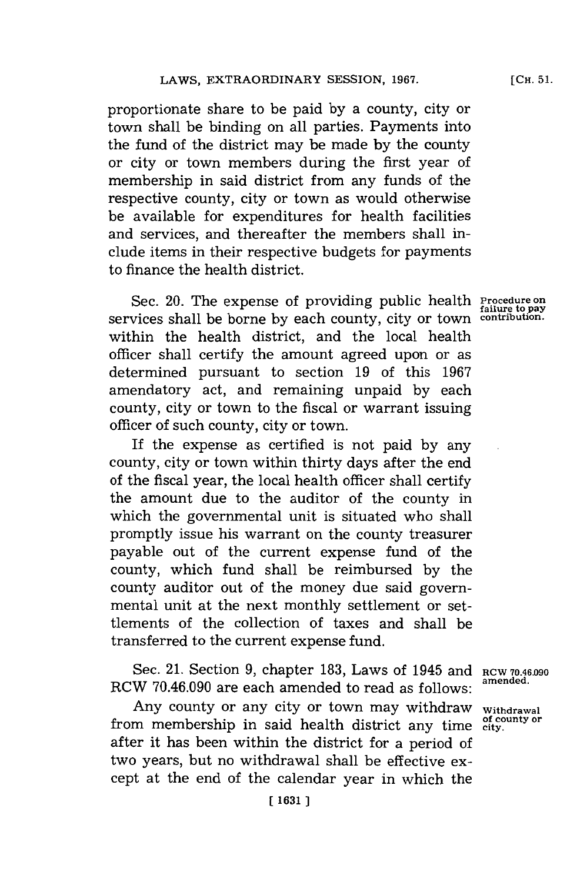proportionate share to be paid **by** a county, city or town shall be binding on all parties. Payments into the fund of the district may be made **by** the county or city or town members during the first year of membership in said district from any funds of the respective county, city or town as would otherwise be available for expenditures for health facilities and services, and thereafter the members shall include items in their respective budgets for payments to finance the health district.

Sec. 20. The expense of providing public health **Procedure on failure to pay** services shall be borne **by** each county, city or town **contribution.** within the health district, and the local health officer shall certify the amount agreed upon or as determined pursuant to section **19** of this **1967** amendatory act, and remaining unpaid **by** each county, city or town to the fiscal or warrant issuing officer of such county, city or town.

If the expense as certified is not paid **by** any county, city or town within thirty days after the end of the fiscal year, the local health officer shall certify the amount due to the auditor of the county in which the governmental unit is situated who shall promptly issue his warrant on the county treasurer payable out of the current expense fund of the county, which fund shall be reimbursed **by** the county auditor out of the money due said governmental unit at the next monthly settlement or settlements of the collection of taxes and shall be transferred to the current expense fund.

Sec. 21. Section 9, chapter 183, Laws of 1945 and RCW 70.46.090 amended. RCW 70.46.090 are each amended to read as follows:

Any county or any city or town may withdraw withdrawal from membership in said health district any time **city**. after it has been within the district for a period of two years, but no withdrawal shall be effective except at the end of the calendar year in which the

**[CH. 51.**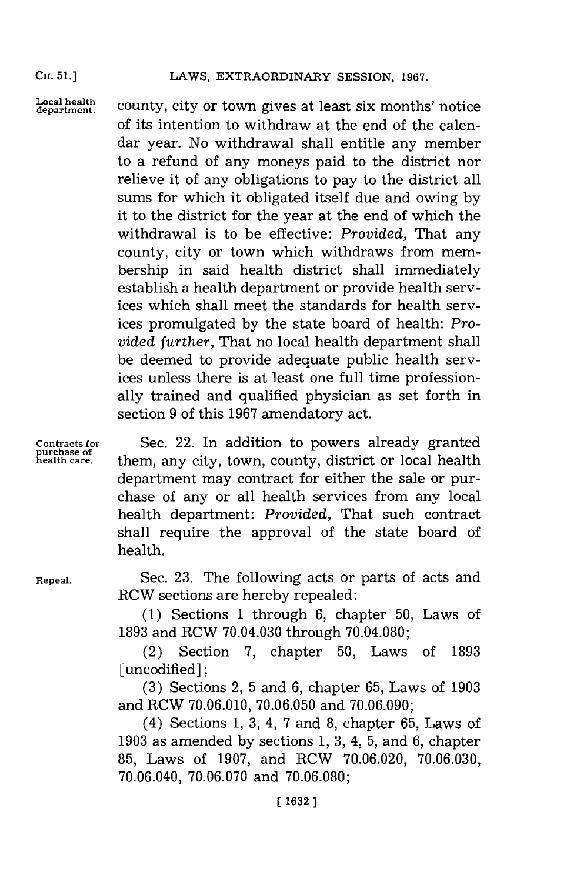## LAWS, EXTRAORDINARY SESSION, 1967.

**CH. 51.]**

Local health county, city or town gives at least six months' notice of its intention to withdraw at the end of the calendar year. No withdrawal shall entitle any member to a refund of any moneys paid to the district nor relieve it of any obligations to pay to the district all sums for which it obligated itself due and owing **by** it to the district for the year at the end of which the withdrawal is to be effective: *Provided,* That any county, city or town which withdraws from membership in said health district shall immediately establish a health department or provide health services which shall meet the standards for health services promulgated **by** the state board of health: *Provided further,* That no local health department shall be deemed to provide adequate public health services unless there is at least one full time professionally trained and qualified physician as set forth in section **9** of this **1967** amendatory act.

**Contracts for Sec. 22. In addition to powers already granted** purchase of them any city town county district or local health them, any city, town, county, district or local health department may contract for either the sale or purchase of any or all health services from any local health department: *Provided,* That such contract shall require the approval of the state board of health.

**Repeal.** Sec. **23.** The following acts or parts of acts and RCW sections are hereby repealed:

> **(1)** Sections **1** through **6,** chapter **50,** Laws of **1893** and RCW 70.04.030 through **70.04.080;**

> (2) Section **7,** chapter **50,** Laws of **1893** [uncodified]:

> **(3)** Sections 2, **5** and **6,** chapter **65,** Laws of **1903** and RCW **70.06.0 10, 70.06.050** and **70.06.090;**

> (4) Sections **1, 3,** 4, **7** and **8,** chapter **65,** Laws of **1903** as amended **by** sections **1, 3,** 4, **5,** and **6,** chapter **85,** Laws of **1907,** and RCW **70.06.020, 70.06.030,** 70.06.040, **70.06.070** and **70.06.080;**